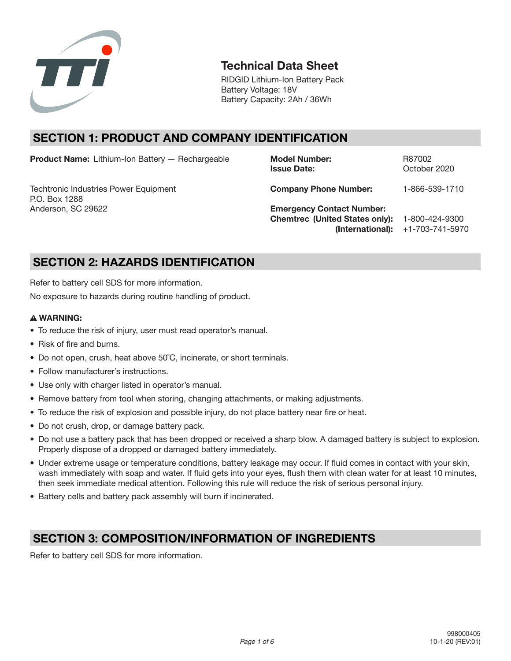

# **Technical Data Sheet**

RIDGID Lithium-Ion Battery Pack Battery Voltage: 18V Battery Capacity: 2Ah / 36Wh

# **SECTION 1: PRODUCT AND COMPANY IDENTIFICATION**

**Product Name:** Lithium-Ion Battery — Rechargeable **Model Number:** R87002

Techtronic Industries Power Equipment **Company Phone Number:** 1-866-539-1710 P.O. Box 1288 Anderson, SC 29622 **Emergency Contact Number:** 

**Issue Date:** Corrected Communications Corrected by Decision 2020

**Chemtrec (United States only):** 1-800-424-9300 **(International):** +1-703-741-5970

# **SECTION 2: HAZARDS IDENTIFICATION**

Refer to battery cell SDS for more information.

No exposure to hazards during routine handling of product.

## **WARNING:**

- To reduce the risk of injury, user must read operator's manual.
- Risk of fire and burns.
- Do not open, crush, heat above 50°C, incinerate, or short terminals.
- Follow manufacturer's instructions.
- Use only with charger listed in operator's manual.
- Remove battery from tool when storing, changing attachments, or making adjustments.
- To reduce the risk of explosion and possible injury, do not place battery near fire or heat.
- Do not crush, drop, or damage battery pack.
- Do not use a battery pack that has been dropped or received a sharp blow. A damaged battery is subject to explosion. Properly dispose of a dropped or damaged battery immediately.
- Under extreme usage or temperature conditions, battery leakage may occur. If fluid comes in contact with your skin, wash immediately with soap and water. If fluid gets into your eyes, flush them with clean water for at least 10 minutes, then seek immediate medical attention. Following this rule will reduce the risk of serious personal injury.
- Battery cells and battery pack assembly will burn if incinerated.

# **SECTION 3: COMPOSITION/INFORMATION OF INGREDIENTS**

Refer to battery cell SDS for more information.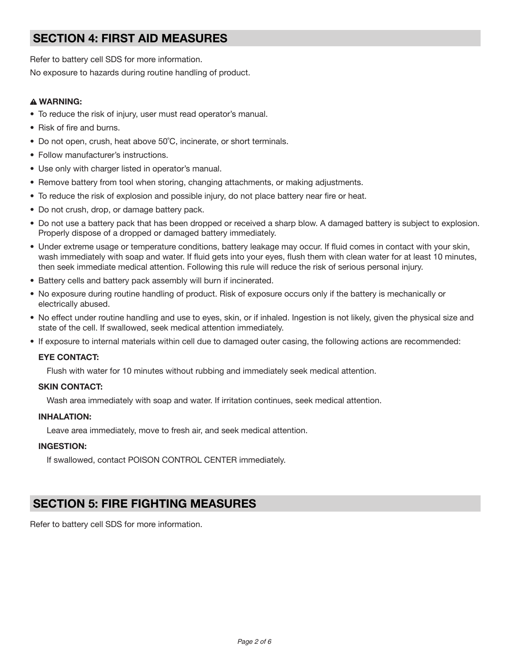# **SECTION 4: FIRST AID MEASURES**

Refer to battery cell SDS for more information.

No exposure to hazards during routine handling of product.

## **WARNING:**

- To reduce the risk of injury, user must read operator's manual.
- Risk of fire and burns.
- Do not open, crush, heat above 50°C, incinerate, or short terminals.
- Follow manufacturer's instructions.
- Use only with charger listed in operator's manual.
- Remove battery from tool when storing, changing attachments, or making adjustments.
- To reduce the risk of explosion and possible injury, do not place battery near fire or heat.
- Do not crush, drop, or damage battery pack.
- Do not use a battery pack that has been dropped or received a sharp blow. A damaged battery is subject to explosion. Properly dispose of a dropped or damaged battery immediately.
- Under extreme usage or temperature conditions, battery leakage may occur. If fluid comes in contact with your skin, wash immediately with soap and water. If fluid gets into your eyes, flush them with clean water for at least 10 minutes, then seek immediate medical attention. Following this rule will reduce the risk of serious personal injury.
- Battery cells and battery pack assembly will burn if incinerated.
- No exposure during routine handling of product. Risk of exposure occurs only if the battery is mechanically or electrically abused.
- No effect under routine handling and use to eyes, skin, or if inhaled. Ingestion is not likely, given the physical size and state of the cell. If swallowed, seek medical attention immediately.
- If exposure to internal materials within cell due to damaged outer casing, the following actions are recommended:

## **EYE CONTACT:**

Flush with water for 10 minutes without rubbing and immediately seek medical attention.

## **SKIN CONTACT:**

Wash area immediately with soap and water. If irritation continues, seek medical attention.

## **INHALATION:**

Leave area immediately, move to fresh air, and seek medical attention.

## **INGESTION:**

If swallowed, contact POISON CONTROL CENTER immediately.

# **SECTION 5: FIRE FIGHTING MEASURES**

Refer to battery cell SDS for more information.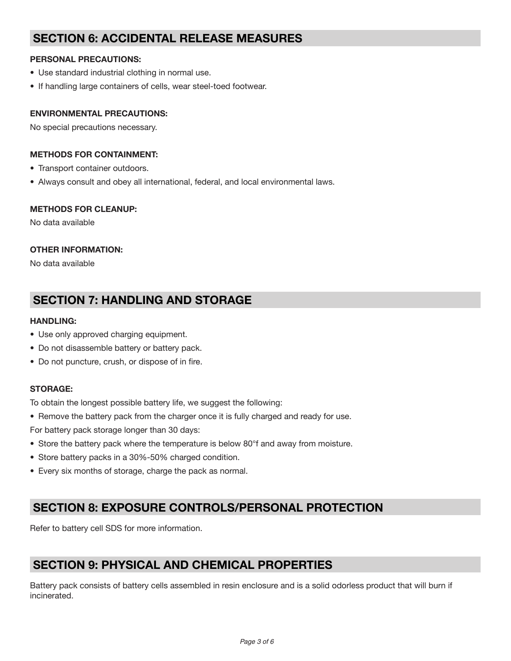# **SECTION 6: ACCIDENTAL RELEASE MEASURES**

## **PERSONAL PRECAUTIONS:**

- Use standard industrial clothing in normal use.
- If handling large containers of cells, wear steel-toed footwear.

## **ENVIRONMENTAL PRECAUTIONS:**

No special precautions necessary.

## **METHODS FOR CONTAINMENT:**

- Transport container outdoors.
- Always consult and obey all international, federal, and local environmental laws.

## **METHODS FOR CLEANUP:**

No data available

## **OTHER INFORMATION:**

No data available

# **SECTION 7: HANDLING AND STORAGE**

## **HANDLING:**

- Use only approved charging equipment.
- Do not disassemble battery or battery pack.
- Do not puncture, crush, or dispose of in fire.

## **STORAGE:**

To obtain the longest possible battery life, we suggest the following:

• Remove the battery pack from the charger once it is fully charged and ready for use.

For battery pack storage longer than 30 days:

- Store the battery pack where the temperature is below 80°f and away from moisture.
- Store battery packs in a 30%-50% charged condition.
- Every six months of storage, charge the pack as normal.

# **SECTION 8: EXPOSURE CONTROLS/PERSONAL PROTECTION**

Refer to battery cell SDS for more information.

# **SECTION 9: PHYSICAL AND CHEMICAL PROPERTIES**

Battery pack consists of battery cells assembled in resin enclosure and is a solid odorless product that will burn if incinerated.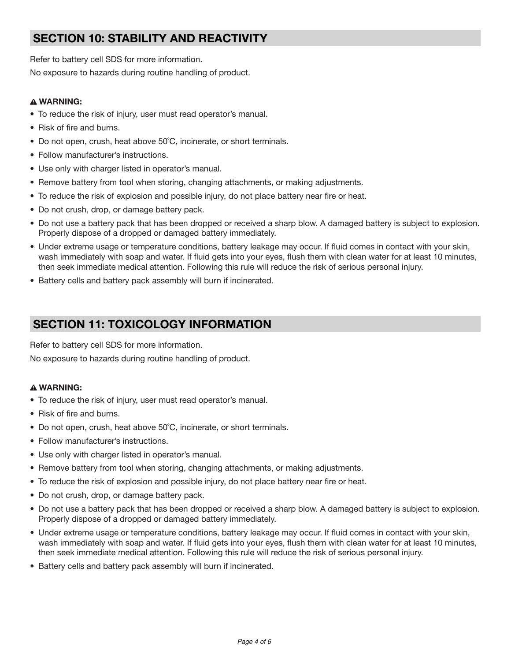# **SECTION 10: STABILITY AND REACTIVITY**

Refer to battery cell SDS for more information.

No exposure to hazards during routine handling of product.

## **WARNING:**

- To reduce the risk of injury, user must read operator's manual.
- Risk of fire and burns.
- Do not open, crush, heat above 50°C, incinerate, or short terminals.
- Follow manufacturer's instructions.
- Use only with charger listed in operator's manual.
- Remove battery from tool when storing, changing attachments, or making adjustments.
- To reduce the risk of explosion and possible injury, do not place battery near fire or heat.
- Do not crush, drop, or damage battery pack.
- Do not use a battery pack that has been dropped or received a sharp blow. A damaged battery is subject to explosion. Properly dispose of a dropped or damaged battery immediately.
- Under extreme usage or temperature conditions, battery leakage may occur. If fluid comes in contact with your skin, wash immediately with soap and water. If fluid gets into your eyes, flush them with clean water for at least 10 minutes, then seek immediate medical attention. Following this rule will reduce the risk of serious personal injury.
- Battery cells and battery pack assembly will burn if incinerated.

# **SECTION 11: TOXICOLOGY INFORMATION**

Refer to battery cell SDS for more information.

No exposure to hazards during routine handling of product.

## **WARNING:**

- To reduce the risk of injury, user must read operator's manual.
- Risk of fire and burns.
- Do not open, crush, heat above 50°C, incinerate, or short terminals.
- Follow manufacturer's instructions.
- Use only with charger listed in operator's manual.
- Remove battery from tool when storing, changing attachments, or making adjustments.
- To reduce the risk of explosion and possible injury, do not place battery near fire or heat.
- Do not crush, drop, or damage battery pack.
- Do not use a battery pack that has been dropped or received a sharp blow. A damaged battery is subject to explosion. Properly dispose of a dropped or damaged battery immediately.
- Under extreme usage or temperature conditions, battery leakage may occur. If fluid comes in contact with your skin, wash immediately with soap and water. If fluid gets into your eyes, flush them with clean water for at least 10 minutes, then seek immediate medical attention. Following this rule will reduce the risk of serious personal injury.
- Battery cells and battery pack assembly will burn if incinerated.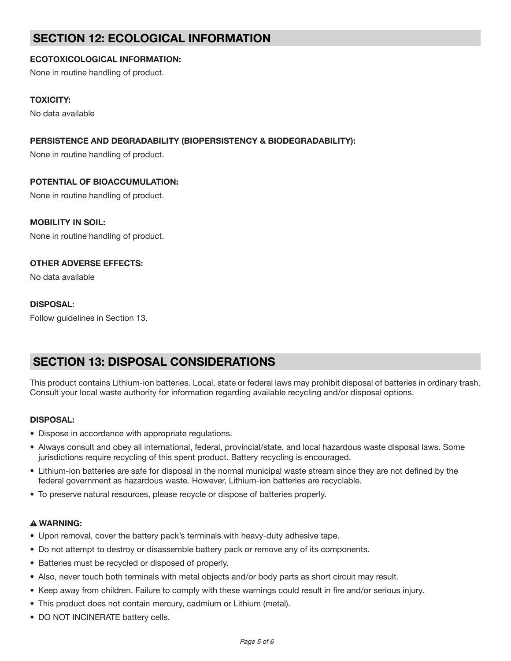# **SECTION 12: ECOLOGICAL INFORMATION**

# **ECOTOXICOLOGICAL INFORMATION:**

None in routine handling of product.

## **TOXICITY:**

No data available

# **PERSISTENCE AND DEGRADABILITY (BIOPERSISTENCY & BIODEGRADABILITY):**

None in routine handling of product.

## **POTENTIAL OF BIOACCUMULATION:**

None in routine handling of product.

## **MOBILITY IN SOIL:**

None in routine handling of product.

## **OTHER ADVERSE EFFECTS:**

No data available

## **DISPOSAL:**

Follow guidelines in Section 13.

# **SECTION 13: DISPOSAL CONSIDERATIONS**

This product contains Lithium-ion batteries. Local, state or federal laws may prohibit disposal of batteries in ordinary trash. Consult your local waste authority for information regarding available recycling and/or disposal options.

## **DISPOSAL:**

- Dispose in accordance with appropriate regulations.
- Always consult and obey all international, federal, provincial/state, and local hazardous waste disposal laws. Some jurisdictions require recycling of this spent product. Battery recycling is encouraged.
- Lithium-ion batteries are safe for disposal in the normal municipal waste stream since they are not defined by the federal government as hazardous waste. However, Lithium-ion batteries are recyclable.
- To preserve natural resources, please recycle or dispose of batteries properly.

## **WARNING:**

- Upon removal, cover the battery pack's terminals with heavy-duty adhesive tape.
- Do not attempt to destroy or disassemble battery pack or remove any of its components.
- Batteries must be recycled or disposed of properly.
- Also, never touch both terminals with metal objects and/or body parts as short circuit may result.
- Keep away from children. Failure to comply with these warnings could result in fire and/or serious injury.
- This product does not contain mercury, cadmium or Lithium (metal).
- DO NOT INCINERATE battery cells.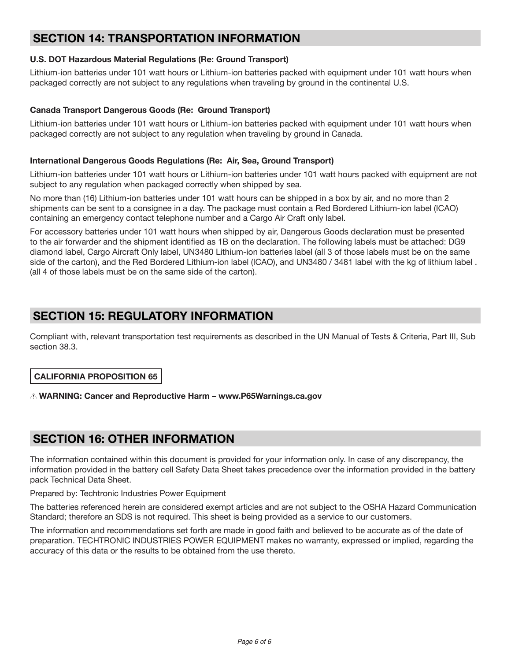# **SECTION 14: TRANSPORTATION INFORMATION**

# **U.S. DOT Hazardous Material Regulations (Re: Ground Transport)**

Lithium-ion batteries under 101 watt hours or Lithium-ion batteries packed with equipment under 101 watt hours when packaged correctly are not subject to any regulations when traveling by ground in the continental U.S.

## **Canada Transport Dangerous Goods (Re: Ground Transport)**

Lithium-ion batteries under 101 watt hours or Lithium-ion batteries packed with equipment under 101 watt hours when packaged correctly are not subject to any regulation when traveling by ground in Canada.

## **International Dangerous Goods Regulations (Re: Air, Sea, Ground Transport)**

Lithium-ion batteries under 101 watt hours or Lithium-ion batteries under 101 watt hours packed with equipment are not subject to any regulation when packaged correctly when shipped by sea.

No more than (16) Lithium-ion batteries under 101 watt hours can be shipped in a box by air, and no more than 2 shipments can be sent to a consignee in a day. The package must contain a Red Bordered Lithium-ion label (ICAO) containing an emergency contact telephone number and a Cargo Air Craft only label.

For accessory batteries under 101 watt hours when shipped by air, Dangerous Goods declaration must be presented to the air forwarder and the shipment identified as 1B on the declaration. The following labels must be attached: DG9 diamond label, Cargo Aircraft Only label, UN3480 Lithium-ion batteries label (all 3 of those labels must be on the same side of the carton), and the Red Bordered Lithium-ion label (ICAO), and UN3480 / 3481 label with the kg of lithium label . (all 4 of those labels must be on the same side of the carton).

# **SECTION 15: REGULATORY INFORMATION**

Compliant with, relevant transportation test requirements as described in the UN Manual of Tests & Criteria, Part III, Sub‐ section 38.3.

# **CALIFORNIA PROPOSITION 65**

## **WARNING: Cancer and Reproductive Harm – www.P65Warnings.ca.gov**

# **SECTION 16: OTHER INFORMATION**

The information contained within this document is provided for your information only. In case of any discrepancy, the information provided in the battery cell Safety Data Sheet takes precedence over the information provided in the battery pack Technical Data Sheet.

Prepared by: Techtronic Industries Power Equipment

The batteries referenced herein are considered exempt articles and are not subject to the OSHA Hazard Communication Standard; therefore an SDS is not required. This sheet is being provided as a service to our customers.

The information and recommendations set forth are made in good faith and believed to be accurate as of the date of preparation. TECHTRONIC INDUSTRIES POWER EQUIPMENT makes no warranty, expressed or implied, regarding the accuracy of this data or the results to be obtained from the use thereto.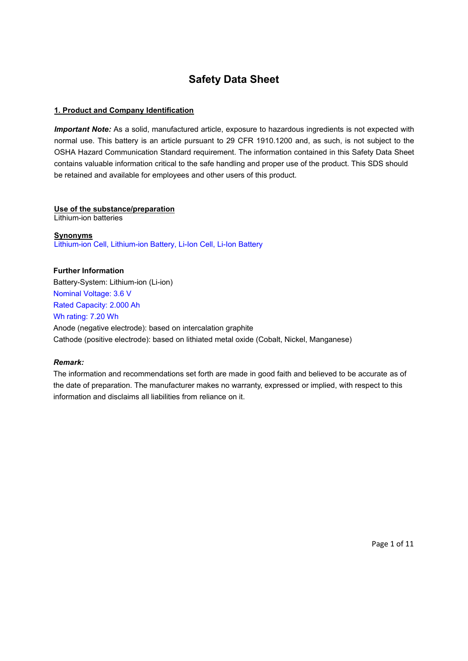# **Safety Data Sheet**

## **1. Product and Company Identification**

*Important Note:* As a solid, manufactured article, exposure to hazardous ingredients is not expected with normal use. This battery is an article pursuant to 29 CFR 1910.1200 and, as such, is not subject to the OSHA Hazard Communication Standard requirement. The information contained in this Safety Data Sheet contains valuable information critical to the safe handling and proper use of the product. This SDS should be retained and available for employees and other users of this product.

## **Use of the substance/preparation**

Lithium-ion batteries

**Synonyms** Lithium-ion Cell, Lithium-ion Battery, Li-Ion Cell, Li-Ion Battery

## **Further Information**

Battery-System: Lithium-ion (Li-ion) Nominal Voltage: 3.6 V Rated Capacity: 2.000 Ah Wh rating: 7.20 Wh Anode (negative electrode): based on intercalation graphite Cathode (positive electrode): based on lithiated metal oxide (Cobalt, Nickel, Manganese)

## *Remark:*

The information and recommendations set forth are made in good faith and believed to be accurate as of the date of preparation. The manufacturer makes no warranty, expressed or implied, with respect to this information and disclaims all liabilities from reliance on it.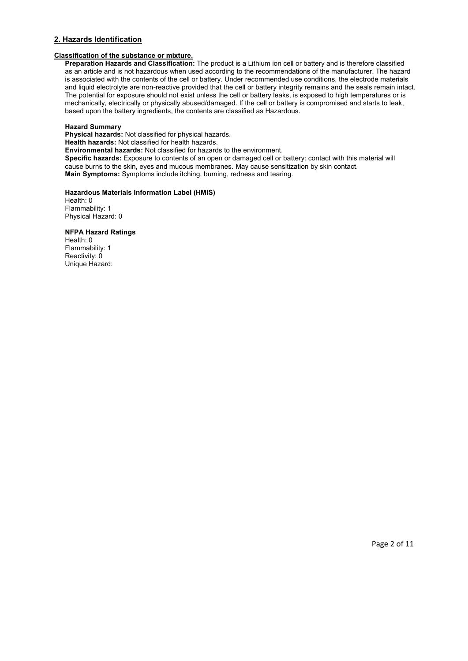## **2. Hazards Identification**

### **Classification of the substance or mixture.**

**Preparation Hazards and Classification:** The product is a Lithium ion cell or battery and is therefore classified as an article and is not hazardous when used according to the recommendations of the manufacturer. The hazard is associated with the contents of the cell or battery. Under recommended use conditions, the electrode materials and liquid electrolyte are non-reactive provided that the cell or battery integrity remains and the seals remain intact. The potential for exposure should not exist unless the cell or battery leaks, is exposed to high temperatures or is mechanically, electrically or physically abused/damaged. If the cell or battery is compromised and starts to leak, based upon the battery ingredients, the contents are classified as Hazardous.

### **Hazard Summary**

**Physical hazards:** Not classified for physical hazards.

**Health hazards:** Not classified for health hazards.

**Environmental hazards:** Not classified for hazards to the environment.

**Specific hazards:** Exposure to contents of an open or damaged cell or battery: contact with this material will cause burns to the skin, eyes and mucous membranes. May cause sensitization by skin contact. **Main Symptoms:** Symptoms include itching, burning, redness and tearing.

### **Hazardous Materials Information Label (HMIS)**

Health: 0 Flammability: 1 Physical Hazard: 0

#### **NFPA Hazard Ratings**

Health: 0 Flammability: 1 Reactivity: 0 Unique Hazard: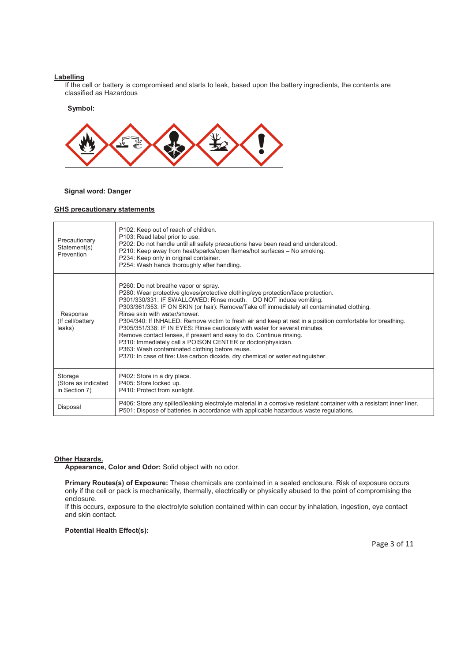#### **Labelling**

If the cell or battery is compromised and starts to leak, based upon the battery ingredients, the contents are classified as Hazardous

#### **Symbol:**



#### **Signal word: Danger**

#### **GHS precautionary statements**

| Precautionary<br>Statement(s)<br>Prevention     | P102: Keep out of reach of children.<br>P103: Read label prior to use.<br>P202: Do not handle until all safety precautions have been read and understood.<br>P210: Keep away from heat/sparks/open flames/hot surfaces - No smoking.<br>P234: Keep only in original container.<br>P254: Wash hands thoroughly after handling.                                                                                                                                                                                                                                                                                                                                                                                                                                                                     |
|-------------------------------------------------|---------------------------------------------------------------------------------------------------------------------------------------------------------------------------------------------------------------------------------------------------------------------------------------------------------------------------------------------------------------------------------------------------------------------------------------------------------------------------------------------------------------------------------------------------------------------------------------------------------------------------------------------------------------------------------------------------------------------------------------------------------------------------------------------------|
| Response<br>(If cell/battery<br>leaks)          | P260: Do not breathe vapor or spray.<br>P280: Wear protective gloves/protective clothing/eye protection/face protection.<br>P301/330/331: IF SWALLOWED: Rinse mouth. DO NOT induce vomiting.<br>P303/361/353: IF ON SKIN (or hair): Remove/Take off immediately all contaminated clothing.<br>Rinse skin with water/shower.<br>P304/340: If INHALED: Remove victim to fresh air and keep at rest in a position comfortable for breathing.<br>P305/351/338: IF IN EYES: Rinse cautiously with water for several minutes.<br>Remove contact lenses, if present and easy to do. Continue rinsing.<br>P310: Immediately call a POISON CENTER or doctor/physician.<br>P363: Wash contaminated clothing before reuse.<br>P370: In case of fire: Use carbon dioxide, dry chemical or water extinguisher. |
| Storage<br>(Store as indicated<br>in Section 7) | P402: Store in a dry place.<br>P405: Store locked up.<br>P410: Protect from sunlight.                                                                                                                                                                                                                                                                                                                                                                                                                                                                                                                                                                                                                                                                                                             |
| Disposal                                        | P406: Store any spilled/leaking electrolyte material in a corrosive resistant container with a resistant inner liner.<br>P501: Dispose of batteries in accordance with applicable hazardous waste regulations.                                                                                                                                                                                                                                                                                                                                                                                                                                                                                                                                                                                    |

## **Other Hazards.**

**Appearance, Color and Odor:** Solid object with no odor.

**Primary Routes(s) of Exposure:** These chemicals are contained in a sealed enclosure. Risk of exposure occurs only if the cell or pack is mechanically, thermally, electrically or physically abused to the point of compromising the enclosure.

If this occurs, exposure to the electrolyte solution contained within can occur by inhalation, ingestion, eye contact and skin contact.

**Potential Health Effect(s):**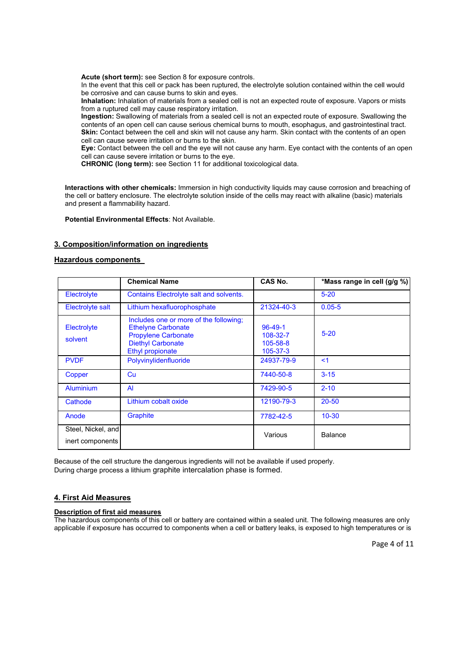**Acute (short term):** see Section 8 for exposure controls.

In the event that this cell or pack has been ruptured, the electrolyte solution contained within the cell would be corrosive and can cause burns to skin and eyes.

**Inhalation:** Inhalation of materials from a sealed cell is not an expected route of exposure. Vapors or mists from a ruptured cell may cause respiratory irritation.

**Ingestion:** Swallowing of materials from a sealed cell is not an expected route of exposure. Swallowing the contents of an open cell can cause serious chemical burns to mouth, esophagus, and gastrointestinal tract. **Skin:** Contact between the cell and skin will not cause any harm. Skin contact with the contents of an open cell can cause severe irritation or burns to the skin.

**Eye:** Contact between the cell and the eye will not cause any harm. Eye contact with the contents of an open cell can cause severe irritation or burns to the eye.

**CHRONIC (long term):** see Section 11 for additional toxicological data.

**Interactions with other chemicals:** Immersion in high conductivity liquids may cause corrosion and breaching of the cell or battery enclosure. The electrolyte solution inside of the cells may react with alkaline (basic) materials and present a flammability hazard.

**Potential Environmental Effects**: Not Available.

### **3. Composition/information on ingredients**

#### **Hazardous components**

|                                        | <b>Chemical Name</b>                                                                                                                                     | <b>CAS No.</b>                                                | *Mass range in cell (g/g %) |
|----------------------------------------|----------------------------------------------------------------------------------------------------------------------------------------------------------|---------------------------------------------------------------|-----------------------------|
| Electrolyte                            | <b>Contains Electrolyte salt and solvents.</b>                                                                                                           |                                                               | $5 - 20$                    |
| <b>Electrolyte salt</b>                | Lithium hexafluorophosphate                                                                                                                              | 21324-40-3                                                    | $0.05 - 5$                  |
| Electrolyte<br>solvent                 | Includes one or more of the following;<br><b>Ethelyne Carbonate</b><br><b>Propylene Carbonate</b><br><b>Diethyl Carbonate</b><br><b>Ethyl propionate</b> | $96 - 49 - 1$<br>108-32-7<br>$105 - 58 - 8$<br>$105 - 37 - 3$ | $5 - 20$                    |
| <b>PVDF</b>                            | Polyvinylidenfluoride                                                                                                                                    | 24937-79-9                                                    | $\leq$ 1                    |
| Copper                                 | Cu                                                                                                                                                       | 7440-50-8                                                     | $3 - 15$                    |
| <b>Aluminium</b>                       | $\overline{A}$                                                                                                                                           | 7429-90-5                                                     | $2 - 10$                    |
| Cathode                                | Lithium cobalt oxide                                                                                                                                     | 12190-79-3                                                    | $20 - 50$                   |
| Anode                                  | Graphite                                                                                                                                                 | 7782-42-5                                                     | $10 - 30$                   |
| Steel, Nickel, and<br>inert components |                                                                                                                                                          | Various                                                       | <b>Balance</b>              |

Because of the cell structure the dangerous ingredients will not be available if used properly. During charge process a lithium graphite intercalation phase is formed.

#### **4. First Aid Measures**

#### **Description of first aid measures**

The hazardous components of this cell or battery are contained within a sealed unit. The following measures are only applicable if exposure has occurred to components when a cell or battery leaks, is exposed to high temperatures or is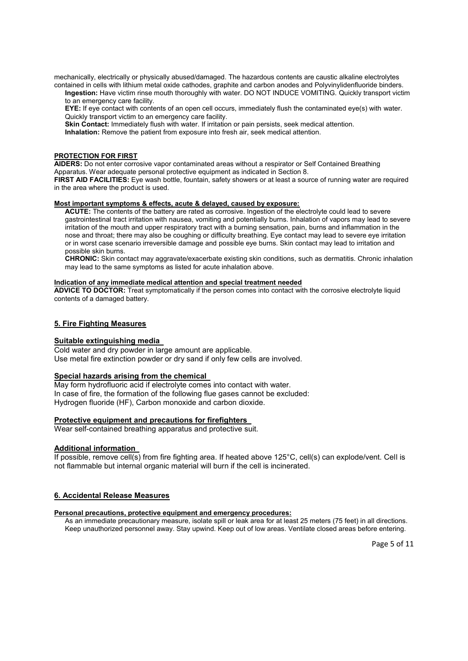mechanically, electrically or physically abused/damaged. The hazardous contents are caustic alkaline electrolytes contained in cells with lithium metal oxide cathodes, graphite and carbon anodes and Polyvinylidenfluoride binders.

**Ingestion:** Have victim rinse mouth thoroughly with water. DO NOT INDUCE VOMITING. Quickly transport victim to an emergency care facility.

**EYE:** If eye contact with contents of an open cell occurs, immediately flush the contaminated eye(s) with water. Quickly transport victim to an emergency care facility.

**Skin Contact:** Immediately flush with water. If irritation or pain persists, seek medical attention.

**Inhalation:** Remove the patient from exposure into fresh air, seek medical attention.

### **PROTECTION FOR FIRST**

**AIDERS:** Do not enter corrosive vapor contaminated areas without a respirator or Self Contained Breathing Apparatus. Wear adequate personal protective equipment as indicated in Section 8.

**FIRST AID FACILITIES:** Eye wash bottle, fountain, safety showers or at least a source of running water are required in the area where the product is used.

### **Most important symptoms & effects, acute & delayed, caused by exposure:**

**ACUTE:** The contents of the battery are rated as corrosive. Ingestion of the electrolyte could lead to severe gastrointestinal tract irritation with nausea, vomiting and potentially burns. Inhalation of vapors may lead to severe irritation of the mouth and upper respiratory tract with a burning sensation, pain, burns and inflammation in the nose and throat; there may also be coughing or difficulty breathing. Eye contact may lead to severe eye irritation or in worst case scenario irreversible damage and possible eye burns. Skin contact may lead to irritation and possible skin burns.

**CHRONIC:** Skin contact may aggravate/exacerbate existing skin conditions, such as dermatitis. Chronic inhalation may lead to the same symptoms as listed for acute inhalation above.

#### **Indication of any immediate medical attention and special treatment needed**

**ADVICE TO DOCTOR:** Treat symptomatically if the person comes into contact with the corrosive electrolyte liquid contents of a damaged battery.

### **5. Fire Fighting Measures**

#### **Suitable extinguishing media**

Cold water and dry powder in large amount are applicable. Use metal fire extinction powder or dry sand if only few cells are involved.

#### **Special hazards arising from the chemical**

May form hydrofluoric acid if electrolyte comes into contact with water. In case of fire, the formation of the following flue gases cannot be excluded: Hydrogen fluoride (HF), Carbon monoxide and carbon dioxide.

#### **Protective equipment and precautions for firefighters**

Wear self-contained breathing apparatus and protective suit.

#### **Additional information**

If possible, remove cell(s) from fire fighting area. If heated above 125°C, cell(s) can explode/vent. Cell is not flammable but internal organic material will burn if the cell is incinerated.

## **6. Accidental Release Measures**

#### **Personal precautions, protective equipment and emergency procedures:**

As an immediate precautionary measure, isolate spill or leak area for at least 25 meters (75 feet) in all directions. Keep unauthorized personnel away. Stay upwind. Keep out of low areas. Ventilate closed areas before entering.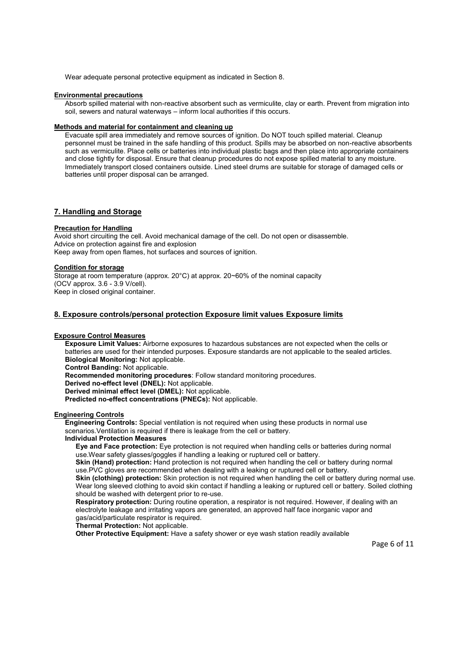Wear adequate personal protective equipment as indicated in Section 8.

#### **Environmental precautions**

Absorb spilled material with non-reactive absorbent such as vermiculite, clay or earth. Prevent from migration into soil, sewers and natural waterways – inform local authorities if this occurs.

#### **Methods and material for containment and cleaning up**

Evacuate spill area immediately and remove sources of ignition. Do NOT touch spilled material. Cleanup personnel must be trained in the safe handling of this product. Spills may be absorbed on non-reactive absorbents such as vermiculite. Place cells or batteries into individual plastic bags and then place into appropriate containers and close tightly for disposal. Ensure that cleanup procedures do not expose spilled material to any moisture. Immediately transport closed containers outside. Lined steel drums are suitable for storage of damaged cells or batteries until proper disposal can be arranged.

### **7. Handling and Storage**

#### **Precaution for Handling**

Avoid short circuiting the cell. Avoid mechanical damage of the cell. Do not open or disassemble. Advice on protection against fire and explosion Keep away from open flames, hot surfaces and sources of ignition.

#### **Condition for storage**

Storage at room temperature (approx. 20°C) at approx. 20~60% of the nominal capacity (OCV approx. 3.6 - 3.9 V/cell). Keep in closed original container.

### **8. Exposure controls/personal protection Exposure limit values Exposure limits**

#### **Exposure Control Measures**

**Exposure Limit Values:** Airborne exposures to hazardous substances are not expected when the cells or batteries are used for their intended purposes. Exposure standards are not applicable to the sealed articles. **Biological Monitoring:** Not applicable. **Control Banding:** Not applicable.

**Recommended monitoring procedures**: Follow standard monitoring procedures.

**Derived no-effect level (DNEL):** Not applicable.

**Derived minimal effect level (DMEL):** Not applicable.

**Predicted no-effect concentrations (PNECs):** Not applicable.

#### **Engineering Controls**

**Engineering Controls:** Special ventilation is not required when using these products in normal use scenarios.Ventilation is required if there is leakage from the cell or battery.

#### **Individual Protection Measures**

**Eye and Face protection:** Eye protection is not required when handling cells or batteries during normal use.Wear safety glasses/goggles if handling a leaking or ruptured cell or battery.

**Skin (Hand) protection:** Hand protection is not required when handling the cell or battery during normal use.PVC gloves are recommended when dealing with a leaking or ruptured cell or battery.

**Skin (clothing) protection:** Skin protection is not required when handling the cell or battery during normal use. Wear long sleeved clothing to avoid skin contact if handling a leaking or ruptured cell or battery. Soiled clothing should be washed with detergent prior to re-use.

**Respiratory protection:** During routine operation, a respirator is not required. However, if dealing with an electrolyte leakage and irritating vapors are generated, an approved half face inorganic vapor and gas/acid/particulate respirator is required.

#### **Thermal Protection:** Not applicable.

**Other Protective Equipment:** Have a safety shower or eye wash station readily available

Page 6 of 11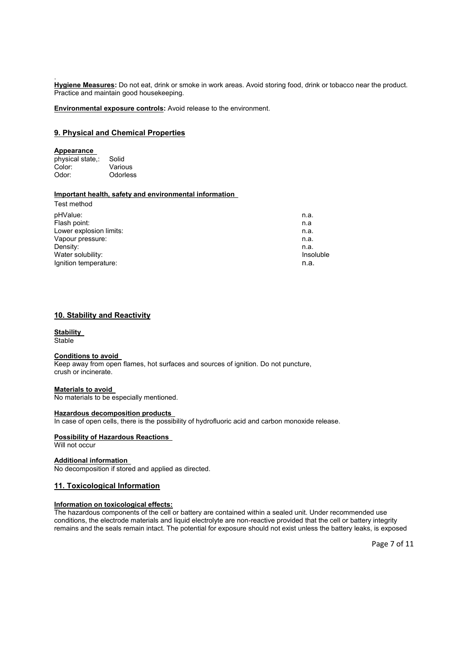. **Hygiene Measures:** Do not eat, drink or smoke in work areas. Avoid storing food, drink or tobacco near the product. Practice and maintain good housekeeping.

**Environmental exposure controls:** Avoid release to the environment.

### **9. Physical and Chemical Properties**

#### **Appearance**

physical state,: Solid<br>Color: Vario Color: Various<br>Odor: Odorles **Odorless** 

### **Important health, safety and environmental information**

| Test method             |           |
|-------------------------|-----------|
| pHValue:                | n.a.      |
| Flash point:            | n.a       |
| Lower explosion limits: | n.a.      |
| Vapour pressure:        | n.a.      |
| Density:                | n.a.      |
| Water solubility:       | Insoluble |
| Ignition temperature:   | n.a.      |

### **10. Stability and Reactivity**

#### **Stability Stable**

### **Conditions to avoid**

Keep away from open flames, hot surfaces and sources of ignition. Do not puncture, crush or incinerate.

#### **Materials to avoid**

No materials to be especially mentioned.

#### **Hazardous decomposition products**

In case of open cells, there is the possibility of hydrofluoric acid and carbon monoxide release.

#### **Possibility of Hazardous Reactions**

Will not occur

#### **Additional information**

No decomposition if stored and applied as directed.

### **11. Toxicological Information**

### **Information on toxicological effects:**

The hazardous components of the cell or battery are contained within a sealed unit. Under recommended use conditions, the electrode materials and liquid electrolyte are non-reactive provided that the cell or battery integrity remains and the seals remain intact. The potential for exposure should not exist unless the battery leaks, is exposed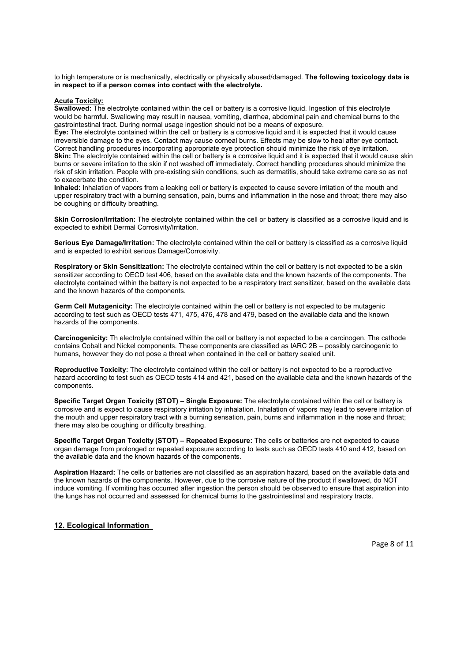to high temperature or is mechanically, electrically or physically abused/damaged. **The following toxicology data is in respect to if a person comes into contact with the electrolyte.** 

#### **Acute Toxicity:**

**Swallowed:** The electrolyte contained within the cell or battery is a corrosive liquid. Ingestion of this electrolyte would be harmful. Swallowing may result in nausea, vomiting, diarrhea, abdominal pain and chemical burns to the gastrointestinal tract. During normal usage ingestion should not be a means of exposure.

**Eye:** The electrolyte contained within the cell or battery is a corrosive liquid and it is expected that it would cause irreversible damage to the eyes. Contact may cause corneal burns. Effects may be slow to heal after eye contact. Correct handling procedures incorporating appropriate eye protection should minimize the risk of eye irritation. **Skin:** The electrolyte contained within the cell or battery is a corrosive liquid and it is expected that it would cause skin burns or severe irritation to the skin if not washed off immediately. Correct handling procedures should minimize the risk of skin irritation. People with pre-existing skin conditions, such as dermatitis, should take extreme care so as not to exacerbate the condition.

**Inhaled:** Inhalation of vapors from a leaking cell or battery is expected to cause severe irritation of the mouth and upper respiratory tract with a burning sensation, pain, burns and inflammation in the nose and throat; there may also be coughing or difficulty breathing.

**Skin Corrosion/Irritation:** The electrolyte contained within the cell or battery is classified as a corrosive liquid and is expected to exhibit Dermal Corrosivity/Irritation.

**Serious Eye Damage/Irritation:** The electrolyte contained within the cell or battery is classified as a corrosive liquid and is expected to exhibit serious Damage/Corrosivity.

**Respiratory or Skin Sensitization:** The electrolyte contained within the cell or battery is not expected to be a skin sensitizer according to OECD test 406, based on the available data and the known hazards of the components. The electrolyte contained within the battery is not expected to be a respiratory tract sensitizer, based on the available data and the known hazards of the components.

**Germ Cell Mutagenicity:** The electrolyte contained within the cell or battery is not expected to be mutagenic according to test such as OECD tests 471, 475, 476, 478 and 479, based on the available data and the known hazards of the components.

**Carcinogenicity:** Th electrolyte contained within the cell or battery is not expected to be a carcinogen. The cathode contains Cobalt and Nickel components. These components are classified as IARC 2B – possibly carcinogenic to humans, however they do not pose a threat when contained in the cell or battery sealed unit.

**Reproductive Toxicity:** The electrolyte contained within the cell or battery is not expected to be a reproductive hazard according to test such as OECD tests 414 and 421, based on the available data and the known hazards of the components.

**Specific Target Organ Toxicity (STOT) – Single Exposure:** The electrolyte contained within the cell or battery is corrosive and is expect to cause respiratory irritation by inhalation. Inhalation of vapors may lead to severe irritation of the mouth and upper respiratory tract with a burning sensation, pain, burns and inflammation in the nose and throat; there may also be coughing or difficulty breathing.

**Specific Target Organ Toxicity (STOT) – Repeated Exposure:** The cells or batteries are not expected to cause organ damage from prolonged or repeated exposure according to tests such as OECD tests 410 and 412, based on the available data and the known hazards of the components.

**Aspiration Hazard:** The cells or batteries are not classified as an aspiration hazard, based on the available data and the known hazards of the components. However, due to the corrosive nature of the product if swallowed, do NOT induce vomiting. If vomiting has occurred after ingestion the person should be observed to ensure that aspiration into the lungs has not occurred and assessed for chemical burns to the gastrointestinal and respiratory tracts.

## **12. Ecological Information**

Page 8 of 11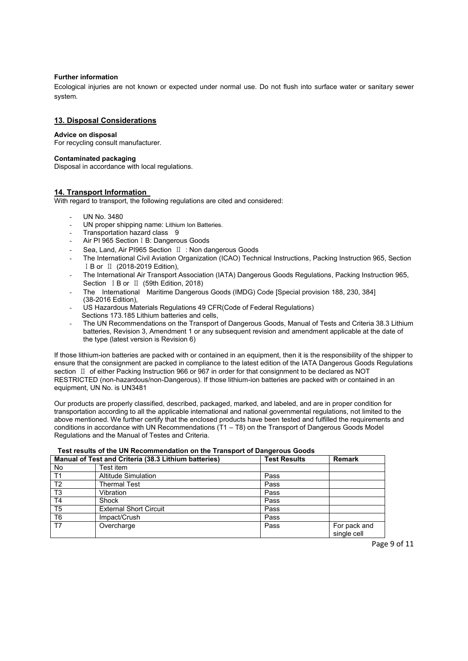#### **Further information**

Ecological injuries are not known or expected under normal use. Do not flush into surface water or sanitary sewer system.

## **13. Disposal Considerations**

#### **Advice on disposal**

For recycling consult manufacturer.

#### **Contaminated packaging**

Disposal in accordance with local regulations.

#### **14. Transport Information**

With regard to transport, the following regulations are cited and considered:

- UN No. 3480
- UN proper shipping name: Lithium Ion Batteries.
- Transportation hazard class 9
- Air PI 965 Section I B: Dangerous Goods
- Sea. Land. Air PI965 Section Ⅱ : Non dangerous Goods
- The International Civil Aviation Organization (ICAO) Technical Instructions, Packing Instruction 965, Section ⅠB or Ⅱ (2018-2019 Edition),
- The International Air Transport Association (IATA) Dangerous Goods Regulations, Packing Instruction 965, Section ⅠB or Ⅱ (59th Edition, 2018)
- The International Maritime Dangerous Goods (IMDG) Code [Special provision 188, 230, 384] (38-2016 Edition),
- US Hazardous Materials Regulations 49 CFR(Code of Federal Regulations) Sections 173.185 Lithium batteries and cells.
- The UN Recommendations on the Transport of Dangerous Goods, Manual of Tests and Criteria 38.3 Lithium batteries, Revision 3, Amendment 1 or any subsequent revision and amendment applicable at the date of the type (latest version is Revision 6)

If those lithium-ion batteries are packed with or contained in an equipment, then it is the responsibility of the shipper to ensure that the consignment are packed in compliance to the latest edition of the IATA Dangerous Goods Regulations section Ⅱ of either Packing Instruction 966 or 967 in order for that consignment to be declared as NOT RESTRICTED (non-hazardous/non-Dangerous). If those lithium-ion batteries are packed with or contained in an equipment, UN No. is UN3481

Our products are properly classified, described, packaged, marked, and labeled, and are in proper condition for transportation according to all the applicable international and national governmental regulations, not limited to the above mentioned. We further certify that the enclosed products have been tested and fulfilled the requirements and conditions in accordance with UN Recommendations (T1 – T8) on the Transport of Dangerous Goods Model Regulations and the Manual of Testes and Criteria.

## **Test results of the UN Recommendation on the Transport of Dangerous Goods**

| Manual of Test and Criteria (38.3 Lithium batteries) |                               | <b>Test Results</b> | <b>Remark</b>               |
|------------------------------------------------------|-------------------------------|---------------------|-----------------------------|
| No                                                   | Test item                     |                     |                             |
| T1                                                   | <b>Altitude Simulation</b>    | Pass                |                             |
| T <sub>2</sub>                                       | Thermal Test                  | Pass                |                             |
| T <sub>3</sub>                                       | Vibration                     | Pass                |                             |
| T4                                                   | Shock                         | Pass                |                             |
| T <sub>5</sub>                                       | <b>External Short Circuit</b> | Pass                |                             |
| T <sub>6</sub>                                       | Impact/Crush                  | Pass                |                             |
| T <sub>7</sub>                                       | Overcharge                    | Pass                | For pack and<br>single cell |